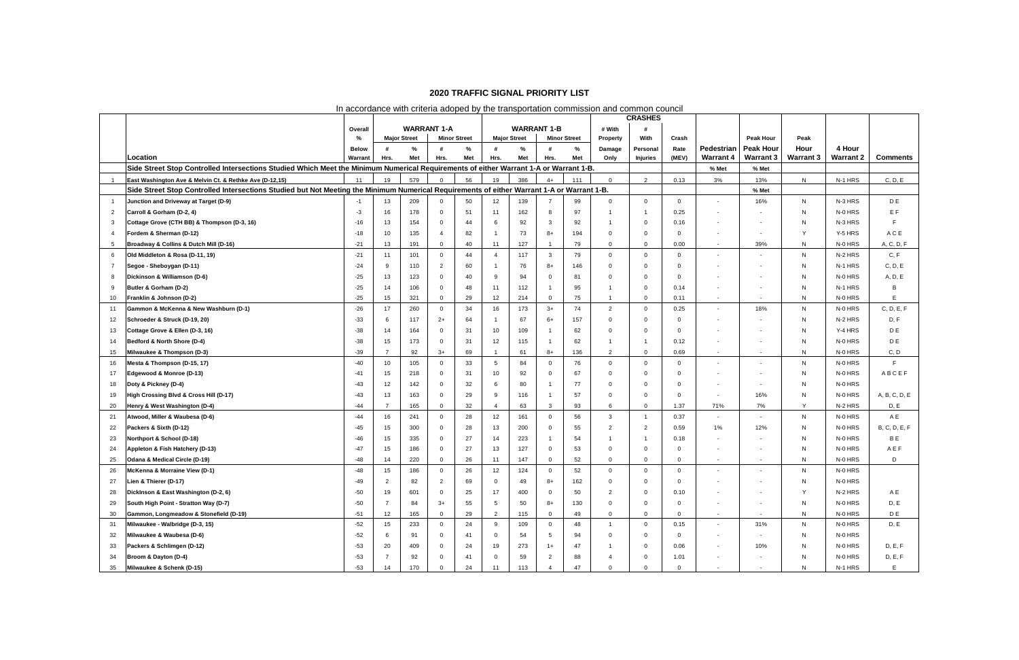| In accordance with criteria adoped by the transportation commission and common council |                                                                                                                                            |                         |                |                                           |                |          |                 |                     |                |                     |                     |                             | <b>CRASHES</b> |                                |                                      |                          |                            |                      |  |  |  |  |  |
|----------------------------------------------------------------------------------------|--------------------------------------------------------------------------------------------------------------------------------------------|-------------------------|----------------|-------------------------------------------|----------------|----------|-----------------|---------------------|----------------|---------------------|---------------------|-----------------------------|----------------|--------------------------------|--------------------------------------|--------------------------|----------------------------|----------------------|--|--|--|--|--|
|                                                                                        |                                                                                                                                            |                         |                |                                           |                |          |                 |                     |                |                     |                     |                             |                |                                |                                      |                          |                            |                      |  |  |  |  |  |
|                                                                                        |                                                                                                                                            | Overall                 |                | <b>WARRANT 1-A</b><br><b>Minor Street</b> |                |          |                 | <b>WARRANT 1-B</b>  |                | # With              |                     |                             |                |                                |                                      |                          |                            |                      |  |  |  |  |  |
|                                                                                        |                                                                                                                                            | %                       |                | <b>Major Street</b>                       |                |          |                 | <b>Major Street</b> |                | <b>Minor Street</b> | Property            | With                        | Crash          |                                | Peak Hour                            | Peak                     |                            |                      |  |  |  |  |  |
|                                                                                        | Location                                                                                                                                   | <b>Below</b><br>Warrant | Hrs.           | ℅<br>Met                                  | #<br>Hrs.      | ℅<br>Met | Hrs.            | %<br>Met            | #<br>Hrs.      | %<br>Met            | Damage<br>Only      | Personal<br><b>Injuries</b> | Rate<br>(MEV)  | Pedestrian<br><b>Warrant 4</b> | <b>Peak Hour</b><br><b>Warrant 3</b> | Hour<br><b>Warrant 3</b> | 4 Hour<br><b>Warrant 2</b> | <b>Comments</b>      |  |  |  |  |  |
|                                                                                        | Side Street Stop Controlled Intersections Studied Which Meet the Minimum Numerical Requirements of either Warrant 1-A or Warrant 1-B.      |                         |                |                                           |                |          |                 |                     |                |                     |                     |                             |                | % Met                          | % Met                                |                          |                            |                      |  |  |  |  |  |
| $\overline{1}$                                                                         | East Washington Ave & Melvin Ct. & Rethke Ave (D-12,15)                                                                                    | 11                      | 19             | 579                                       | $\mathbf{0}$   | 56       | 19              | 386                 | $4+$           | 111                 | $\overline{0}$      | 2                           | 0.13           | 3%                             | 13%                                  | N                        | N-1 HRS                    | C, D, E              |  |  |  |  |  |
|                                                                                        | Side Street Stop Controlled Intersections Studied but Not Meeting the Minimum Numerical Requirements of either Warrant 1-A or Warrant 1-B. |                         |                |                                           |                |          |                 |                     |                |                     |                     |                             |                |                                | % Met                                |                          |                            |                      |  |  |  |  |  |
| $\overline{1}$                                                                         | Junction and Driveway at Target (D-9)                                                                                                      |                         | 13             | 209                                       | $\Omega$       | 50       | 12              | 139                 | $\overline{7}$ | 99                  | $\overline{0}$      | $\overline{0}$              | $\overline{0}$ | $\sim$                         | 16%                                  | N                        | N-3 HRS                    | D E                  |  |  |  |  |  |
| $\overline{2}$                                                                         | Carroll & Gorham (D-2, 4)                                                                                                                  | -3                      | 16             | 178                                       | $\mathbf{0}$   | 51       | 11              | 162                 | -8             | 97                  |                     |                             | 0.25           | $\overline{\phantom{a}}$       |                                      | N                        | N-0 HRS                    | E F                  |  |  |  |  |  |
| 3                                                                                      | Cottage Grove (CTH BB) & Thompson (D-3, 16)                                                                                                | $-16$                   | 13             | 154                                       | $\Omega$       | 44       | 6               | 92                  | -3             | 92                  |                     | $\mathbf 0$                 | 0.16           | $\overline{\phantom{a}}$       | $\overline{\phantom{a}}$             | N                        | N-3 HRS                    |                      |  |  |  |  |  |
| $\overline{4}$                                                                         | Fordem & Sherman (D-12)                                                                                                                    | $-18$                   | 10             | 135                                       | $\overline{4}$ | 82       | $\mathbf 1$     | 73                  | $8+$           | 194                 | $\Omega$            | $\Omega$                    | $\Omega$       |                                | $\sim$                               | Y                        | Y-5 HRS                    | ACE                  |  |  |  |  |  |
| -5                                                                                     | Broadway & Collins & Dutch Mill (D-16)                                                                                                     | $-21$                   | 13             | 191                                       | $\mathbf 0$    | 40       | 11              | 127                 | $\overline{1}$ | 79                  | $\overline{0}$      | $\overline{0}$              | 0.00           | $\sim$                         | 39%                                  | N                        | N-0 HRS                    | A, C, D, F           |  |  |  |  |  |
| -6                                                                                     | Old Middleton & Rosa (D-11, 19)                                                                                                            | $-21$                   | 11             | 101                                       | $\Omega$       | 44       | $\overline{4}$  | 117                 | $\mathbf{3}$   | 79                  | $\overline{0}$      | $\overline{0}$              | $\Omega$       | $\overline{\phantom{a}}$       | $\overline{\phantom{a}}$             | N                        | N-2 HRS                    | C, F                 |  |  |  |  |  |
| 7                                                                                      | Segoe - Sheboygan (D-11)                                                                                                                   | $-24$                   | 9              | 110                                       | 2              | 60       | $\overline{1}$  | 76                  | $8+$           | 146                 | $\Omega$            | $\Omega$                    |                | $\sim$                         | $\sim$                               | N                        | N-1 HRS                    | C, D, E              |  |  |  |  |  |
| 8                                                                                      | Dickinson & Williamson (D-6)                                                                                                               | $-25$                   | 13             | 123                                       | $\Omega$       | 40       | 9               | 94                  | $\Omega$       | 81                  | $\Omega$            | $\Omega$                    | <sup>0</sup>   |                                | $\overline{\phantom{a}}$             | N                        | N-0 HRS                    | A, D, E              |  |  |  |  |  |
| 9                                                                                      | Butler & Gorham (D-2)                                                                                                                      | $-25$                   | 14             | 106                                       | $\Omega$       | 48       | 11              | 112                 | $\overline{1}$ | 95                  |                     | $\Omega$                    | 0.14           |                                | $\overline{\phantom{a}}$             | N                        | N-1 HRS                    | B                    |  |  |  |  |  |
| 10                                                                                     | Franklin & Johnson (D-2)                                                                                                                   | $-25$                   | 15             | 321                                       | $\mathbf 0$    | 29       | 12              | 214                 | $\overline{0}$ | 75                  |                     | $\Omega$                    | 0.11           | $\sim$                         | $\overline{\phantom{a}}$             | N                        | N-0 HRS                    | Ε                    |  |  |  |  |  |
| 11                                                                                     | Gammon & McKenna & New Washburn (D-1)                                                                                                      | $-26$                   | 17             | 260                                       | $\mathbf{0}$   | 34       | 16              | 173                 | $3+$           | 74                  | $\overline{2}$      | $\overline{0}$              | 0.25           | $\sim$                         | 18%                                  | N                        | N-0 HRS                    | C, D, E, F           |  |  |  |  |  |
| 12                                                                                     | Schroeder & Struck (D-19, 20)                                                                                                              | $-33$                   | -6             | 117                                       | $2+$           | 64       | $\overline{1}$  | 67                  | $6+$           | 157                 | $\Omega$            | $\Omega$                    | $\Omega$       |                                |                                      | N                        | N-2 HRS                    | D, F                 |  |  |  |  |  |
| 13                                                                                     | Cottage Grove & Ellen (D-3, 16)                                                                                                            | $-38$                   | 14             | 164                                       | $\mathbf{0}$   | 31       | 10              | 109                 | $\overline{1}$ | 62                  | - 0                 | $\Omega$                    | $\Omega$       | $\sim$                         | $\sim$                               | N                        | Y-4 HRS                    | D E                  |  |  |  |  |  |
| 14                                                                                     | Bedford & North Shore (D-4)                                                                                                                | $-38$                   | 15             | 173                                       | $\Omega$       | 31       | 12              | 115                 |                | 62                  |                     |                             | 0.12           | $\sim$                         | $\sim$                               | N                        | N-0 HRS                    | D E                  |  |  |  |  |  |
| 15                                                                                     | Milwaukee & Thompson (D-3)                                                                                                                 | $-39$                   | $\overline{7}$ | 92                                        | $3+$           | 69       | $\overline{1}$  | 61                  | $8+$           | 136                 | $\overline{2}$      | $\mathbf 0$                 | 0.69           | $\sim$                         | $\sim$                               | N                        | N-0 HRS                    | C, D                 |  |  |  |  |  |
| 16                                                                                     | Mesta & Thompson (D-15, 17)                                                                                                                | -40                     | 10             | 105                                       | $\Omega$       | 33       | $5\overline{5}$ | 84                  | $\mathbf 0$    | 76                  | $\overline{0}$      | $\Omega$                    | $\Omega$       | $\overline{\phantom{a}}$       | $\sim$                               | N                        | N-0 HRS                    | E                    |  |  |  |  |  |
| 17                                                                                     | Edgewood & Monroe (D-13)                                                                                                                   | $-41$                   | 15             | 218                                       | $\Omega$       | 31       | 10              | 92                  | $\Omega$       | 67                  | $\Omega$            | $\Omega$                    | $\Omega$       | $\sim$                         | ٠                                    | N                        | N-0 HRS                    | ABCEF                |  |  |  |  |  |
| 18                                                                                     | Doty & Pickney (D-4)                                                                                                                       | $-43$                   | 12             | 142                                       | $\mathbf{0}$   | 32       | 6               | 80                  | $\overline{1}$ | 77                  | $\Omega$            | $\Omega$                    | 0              |                                | $\overline{\phantom{a}}$             | N                        | N-0 HRS                    |                      |  |  |  |  |  |
| 19                                                                                     | High Crossing Blvd & Cross Hill (D-17)                                                                                                     | $-43$                   | 13             | 163                                       | $\Omega$       | 29       | 9               | 116                 | $\overline{1}$ | 57                  | $\Omega$            | $\mathbf 0$                 | $\Omega$       | $\sim$                         | 16%                                  | N                        | N-0 HRS                    | A, B, C, D, E        |  |  |  |  |  |
| 20                                                                                     | Henry & West Washington (D-4)                                                                                                              | $-44$                   | $\overline{7}$ | 165                                       | $\mathbf{0}$   | 32       | $\overline{4}$  | 63                  | $\mathbf{3}$   | 93                  | 6                   | $\Omega$                    | 1.37           | 71%                            | 7%                                   | Y                        | N-2 HRS                    | D, E                 |  |  |  |  |  |
| 21                                                                                     | Atwood, Miller & Waubesa (D-6)                                                                                                             | $-44$                   | 16             | 241                                       | $\Omega$       | 28       | 12              | 161                 | $\Omega$       | 56                  | $\mathbf{3}$        |                             | 0.37           | $\sim$                         | $\overline{\phantom{a}}$             | N                        | N-0 HRS                    | A E                  |  |  |  |  |  |
| 22                                                                                     | Packers & Sixth (D-12)                                                                                                                     | $-45$                   | 15             | 300                                       | $\Omega$       | 28       | 13              | 200                 | $\Omega$       | 55                  | $\overline{2}$      | 2                           | 0.59           | 1%                             | 12%                                  | N                        | N-0 HRS                    | <b>B, C, D, E, F</b> |  |  |  |  |  |
| 23                                                                                     | Northport & School (D-18)                                                                                                                  | $-46$                   | 15             | 335                                       | $\Omega$       | 27       | 14              | 223                 | $\mathbf 1$    | 54                  |                     |                             | 0.18           | $\sim$                         | $\sim$                               | N                        | N-0 HRS                    | B E                  |  |  |  |  |  |
| 24                                                                                     | Appleton & Fish Hatchery (D-13)                                                                                                            | -47                     | 15             | 186                                       | $\Omega$       | 27       | 13              | 127                 | $\Omega$       | 53                  | $\overline{0}$      | $\Omega$                    | 0              | $\sim$                         | $\overline{\phantom{a}}$             | N                        | N-0 HRS                    | AEF                  |  |  |  |  |  |
| 25                                                                                     | Odana & Medical Circle (D-19)                                                                                                              | $-48$                   | 14             | 220                                       | $\mathbf{0}$   | 26       | 11              | 147                 | $\overline{0}$ | 52                  | $\overline{0}$      | $\overline{0}$              | $\Omega$       | $\overline{\phantom{a}}$       | $\blacksquare$                       | N                        | N-0 HRS                    | D                    |  |  |  |  |  |
| 26                                                                                     | McKenna & Morraine View (D-1)                                                                                                              | $-48$                   | 15             | 186                                       | $\Omega$       | 26       | 12              | 124                 | $\mathbf 0$    | 52                  | $\overline{0}$      | $\Omega$                    | $\overline{0}$ | $\sim$                         | $\overline{\phantom{a}}$             | N                        | N-0 HRS                    |                      |  |  |  |  |  |
| 27                                                                                     | Lien & Thierer (D-17)                                                                                                                      |                         |                | 82                                        |                | 69       | $\mathbf 0$     | 49                  | $8+$           | 162                 |                     |                             |                |                                |                                      |                          | N-0 HRS                    |                      |  |  |  |  |  |
| 28                                                                                     | DickInson & East Washington (D-2, 6)                                                                                                       | $-50$                   | 19             | 601                                       | $\mathbf 0$    | 25       | 17              | 400                 | $\overline{0}$ | 50                  | $\overline{2}$      | $\overline{0}$              | 0.10           |                                |                                      | Y                        | N-2 HRS                    | A E                  |  |  |  |  |  |
| 29                                                                                     | South High Point - Stratton Way (D-7)                                                                                                      | $-50$                   | $\overline{7}$ | 84                                        | $3+$           | 55       | 5               | 50                  | 8+             | 130                 | $\overline{0}$      | $\mathbf 0$                 | $\Omega$       | $\sim$                         | $\sim$                               | N                        | N-0 HRS                    | D, E                 |  |  |  |  |  |
| 30                                                                                     | Gammon, Longmeadow & Stonefield (D-19)                                                                                                     | $-51$                   | 12             | 165                                       | $\mathbf 0$    | 29       | $\overline{2}$  | 115                 | $\mathbf 0$    | 49                  | $\overline{0}$      | $\overline{0}$              | 0              | $\sim$                         | $\overline{\phantom{a}}$             | N                        | N-0 HRS                    | D E                  |  |  |  |  |  |
| 31                                                                                     | Milwaukee - Walbridge (D-3, 15)                                                                                                            | $-52$                   | 15             | 233                                       | $\overline{0}$ | 24       | 9               | 109                 | $\overline{0}$ | 48                  | $\overline{1}$      | $\overline{0}$              | 0.15           | $\blacksquare$                 | 31%                                  | N                        | N-0 HRS                    | D, E                 |  |  |  |  |  |
| 32                                                                                     | Milwaukee & Waubesa (D-6)                                                                                                                  | $-52$                   | 6              | 91                                        | $\mathbf{0}$   | 41       | $\overline{0}$  | 54                  | 5              | 94                  | $\overline{0}$      | $\overline{0}$              | $\Omega$       | $\sim$                         | ٠                                    | N                        | N-0 HRS                    |                      |  |  |  |  |  |
| 33                                                                                     | Packers & Schlimgen (D-12)                                                                                                                 | $-53$                   | 20             | 409                                       | $\Omega$       | 24       | 19              | 273                 | $1+$           | 47                  |                     | $\overline{0}$              | 0.06           | $\sim$                         | 10%                                  | N                        | N-0 HRS                    | D, E, F              |  |  |  |  |  |
| 34                                                                                     | Broom & Dayton (D-4)                                                                                                                       | $-53$                   | $\overline{7}$ | 92                                        | $\mathbf{0}$   | 41       | $\mathbf 0$     | 59                  | $\overline{2}$ | 88                  | $\overline{\bf{4}}$ | $\mathbf 0$                 | 1.01           | $\sim$                         | $\overline{\phantom{a}}$             | N                        | N-0 HRS                    | D, E, F              |  |  |  |  |  |
| 35                                                                                     | Milwaukee & Schenk (D-15)                                                                                                                  | $-53$                   | 14             | 170                                       | $\Omega$       | 24       | 11              | 113                 |                | 47                  | $\overline{0}$      | 0                           |                |                                |                                      | N                        | N-1 HRS                    | E                    |  |  |  |  |  |

## In accordance with criteria adoped by the transportation commission and common council

## **2020 TRAFFIC SIGNAL PRIORITY LIST**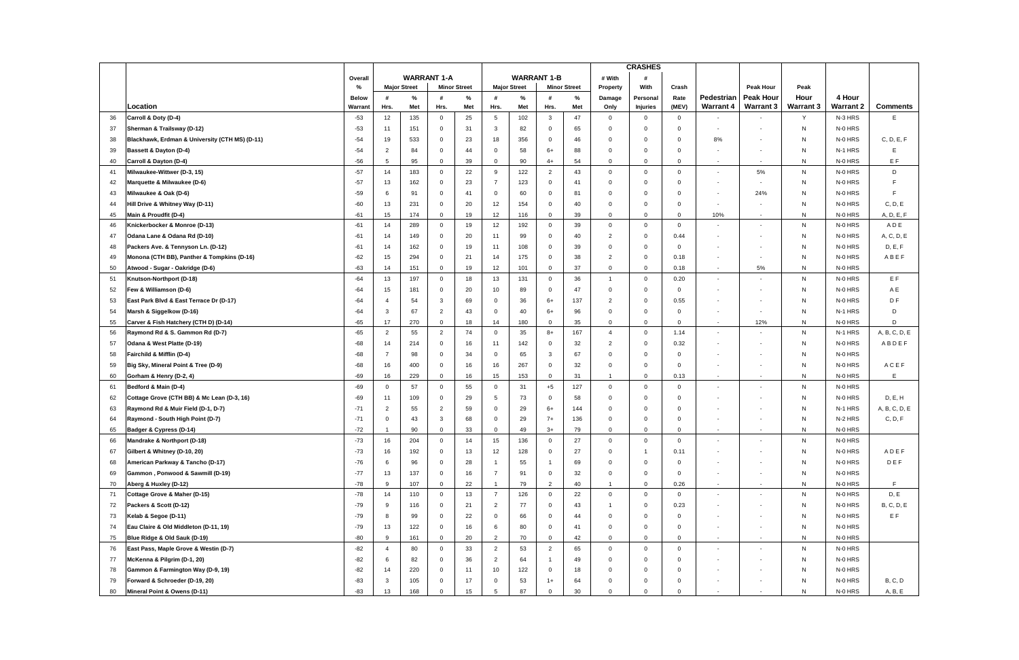|     |                                                |              |                         |                     |                |                     |                 |                     | <b>CRASHES</b> |                     |                |                 |                |                  |                          |                  |                  |                   |
|-----|------------------------------------------------|--------------|-------------------------|---------------------|----------------|---------------------|-----------------|---------------------|----------------|---------------------|----------------|-----------------|----------------|------------------|--------------------------|------------------|------------------|-------------------|
|     |                                                | Overall      |                         | <b>WARRANT 1-A</b>  |                | <b>WARRANT 1-B</b>  |                 |                     | # With         |                     |                |                 |                |                  |                          |                  |                  |                   |
|     |                                                | %            |                         | <b>Major Street</b> |                | <b>Minor Street</b> |                 | <b>Major Street</b> |                | <b>Minor Street</b> | Property       | With            | Crash          |                  | Peak Hour                | Peak             |                  |                   |
|     |                                                | <b>Below</b> | #                       | %                   | #              | %                   | #               | %                   | #              | %                   | Damage         | Personal        | Rate           | Pedestrian       | <b>Peak Hour</b>         | Hour             | 4 Hour           |                   |
|     | Location                                       | Warrant      | Hrs.                    | Met                 | Hrs.           | Met                 | Hrs.            | Met                 | Hrs.           | Met                 | Only           | <b>Injuries</b> | (MEV)          | <b>Warrant 4</b> | <b>Warrant 3</b>         | <b>Warrant 3</b> | <b>Warrant 2</b> | <b>Comments</b>   |
| 36  | Carroll & Doty (D-4)                           | $-53$        | 12                      | 135                 | $\mathbf 0$    | 25                  | 5               | 102                 | 3              | 47                  | $\mathbf{0}$   | $\overline{0}$  | $\mathbf 0$    |                  |                          | Y                | N-3 HRS          | E                 |
| 37  | Sherman & Trailsway (D-12)                     | $-53$        | 11                      | 151                 | $\mathbf 0$    | 31                  | 3               | 82                  | $\mathbf 0$    | 65                  | $\Omega$       | $\Omega$        | $\Omega$       |                  | $\overline{\phantom{a}}$ | N                | N-0 HRS          |                   |
| 38  | Blackhawk, Erdman & University (CTH MS) (D-11) | -54          | 19                      | 533                 | $\mathbf 0$    | 23                  | 18              | 356                 | $\mathbf 0$    | 46                  | $\Omega$       | $\mathbf 0$     | $\Omega$       | 8%               | $\overline{\phantom{a}}$ | N                | N-0 HRS          | C, D, E, F        |
| 39  | <b>Bassett &amp; Dayton (D-4)</b>              | -54          | $\overline{2}$          | 84                  | $\mathbf 0$    | 44                  | $\mathbf 0$     | 58                  | $6+$           | 88                  | $\Omega$       | $\mathbf 0$     | $\Omega$       |                  | $\blacksquare$           | N                | N-1 HRS          | Ε                 |
| 40  | Carroll & Dayton (D-4)                         | $-56$        | 5                       | 95                  | $\mathbf 0$    | 39                  | $\mathbf 0$     | 90                  | $4+$           | 54                  | $\Omega$       | $\Omega$        | $\Omega$       |                  | $\blacksquare$           | N                | N-0 HRS          | EF                |
| 41  | Milwaukee-Wittwer (D-3, 15)                    | $-57$        | 14                      | 183                 | $\mathbf 0$    | 22                  | 9               | 122                 | $\overline{2}$ | 43                  | $\mathbf{0}$   | $\overline{0}$  | $\overline{0}$ |                  | 5%                       | N                | N-0 HRS          | D                 |
| 42  | Marquette & Milwaukee (D-6)                    | $-57$        | 13                      | 162                 | $\mathbf 0$    | 23                  | $\overline{7}$  | 123                 | $\mathbf 0$    | 41                  | $\Omega$       | $\mathbf 0$     | $\Omega$       |                  | $\blacksquare$           | N                | N-0 HRS          |                   |
| 43  | Milwaukee & Oak (D-6)                          | $-59$        | 6                       | 91                  | $\mathbf 0$    | 41                  | $\mathbf 0$     | 60                  | $\mathbf 0$    | 81                  | $\Omega$       | $\mathbf 0$     | $\Omega$       |                  | 24%                      | N                | N-0 HRS          |                   |
| 44  | Hill Drive & Whitney Way (D-11)                | -60          | 13                      | 231                 | $\mathbf 0$    | 20                  | 12              | 154                 | $\mathbf 0$    | 40                  | $\Omega$       | $\mathbf 0$     | 0              |                  | ٠                        | N                | N-0 HRS          | C, D, E           |
| 45  | Main & Proudfit (D-4)                          | -61          | 15                      | 174                 | $\mathbf 0$    | 19                  | 12              | 116                 | $\mathbf 0$    | 39                  | $\mathbf 0$    | $\mathbf 0$     | $\Omega$       | 10%              | $\blacksquare$           | $\mathsf{N}$     | N-0 HRS          | A, D, E, F        |
| 46  | Knickerbocker & Monroe (D-13)                  | $-61$        | 14                      | 289                 | $\mathbf 0$    | 19                  | 12              | 192                 | $\mathbf{0}$   | 39                  | $\overline{0}$ | $\overline{0}$  | $\overline{0}$ |                  | $\blacksquare$           | N                | N-0 HRS          | ADE               |
| 47  | Odana Lane & Odana Rd (D-10)                   | $-61$        | 14                      | 149                 | $\mathbf 0$    | 20                  | 11              | 99                  | $\mathbf{0}$   | 40                  | $\overline{2}$ | $\mathbf 0$     | 0.44           |                  | $\overline{\phantom{a}}$ | N                | N-0 HRS          | A, C, D, E        |
| 48  | Packers Ave. & Tennyson Ln. (D-12)             | -61          | 14                      | 162                 | $\mathbf 0$    | 19                  | 11              | 108                 | $\mathbf 0$    | 39                  | $\Omega$       | $\mathbf 0$     | $\Omega$       |                  | $\sim$                   | N                | N-0 HRS          | D, E, F           |
| 49  | Monona (CTH BB), Panther & Tompkins (D-16)     | $-62$        | 15                      | 294                 | $\mathbf 0$    | 21                  | 14              | 175                 | $\mathbf 0$    | 38                  | $\overline{2}$ | $\mathbf 0$     | 0.18           |                  | $\blacksquare$           | N                | N-0 HRS          | ABEF              |
| 50  | Atwood - Sugar - Oakridge (D-6)                | $-63$        | 14                      | 151                 | $\mathbf 0$    | 19                  | 12              | 101                 | $\mathbf 0$    | 37                  | 0              | $\mathbf 0$     | 0.18           | $\sim$           | 5%                       | N                | N-0 HRS          |                   |
| 51  | Knutson-Northport (D-18)                       | $-64$        | 13                      | 197                 | $\overline{0}$ | 18                  | 13              | 131                 | $\mathbf{0}$   | 36                  | $\mathbf 1$    | $\overline{0}$  | 0.20           |                  |                          | N                | N-0 HRS          | EF                |
| 52  | Few & Williamson (D-6)                         | -64          | 15                      | 181                 | $\mathbf 0$    | 20                  | 10              | 89                  | $\mathbf 0$    | 47                  | $\mathbf 0$    | $\mathbf 0$     | $\Omega$       |                  | $\blacksquare$           | N                | N-0 HRS          | A E               |
| 53  | East Park Blvd & East Terrace Dr (D-17)        | -64          | $\overline{\mathbf{4}}$ | 54                  | $\mathbf{3}$   | 69                  | $\mathbf 0$     | 36                  | $6+$           | 137                 | $\overline{2}$ | $\mathbf 0$     | 0.55           |                  | $\blacksquare$           | N                | N-0 HRS          | D F               |
| 54  | Marsh & Siggelkow (D-16)                       | $-64$        | $\mathbf{3}$            | 67                  | $\overline{2}$ | 43                  | $\mathbf 0$     | 40                  | $6+$           | 96                  | $\Omega$       | $\mathbf 0$     | $\mathbf 0$    |                  | $\overline{\phantom{a}}$ | N                | N-1 HRS          | D                 |
| 55  | Carver & Fish Hatchery (CTH D) (D-14)          | $-65$        | 17                      | 270                 | $\mathbf 0$    | 18                  | 14              | 180                 | $\mathbf 0$    | 35                  | $\mathbf 0$    | $\mathbf 0$     | $\Omega$       |                  | 12%                      | ${\sf N}$        | N-0 HRS          | D                 |
| 56  | Raymond Rd & S. Gammon Rd (D-7)                | $-65$        | $\overline{2}$          | 55                  | $\overline{2}$ | 74                  | $\mathbf{0}$    | 35                  | $8+$           | 167                 | $\overline{4}$ | $\overline{0}$  | 1.14           |                  | $\overline{\phantom{a}}$ | N                | N-1 HRS          | A, B, C, D, E     |
| -57 | Odana & West Platte (D-19)                     | -68          | 14                      | 214                 | $\mathbf 0$    | 16                  | 11              | 142                 | $\mathbf 0$    | 32                  | $\overline{2}$ | $\mathbf 0$     | 0.32           |                  | $\overline{\phantom{a}}$ | N                | N-0 HRS          | ABDEF             |
| 58  | Fairchild & Mifflin (D-4)                      | -68          | $\overline{7}$          | 98                  | $\mathbf 0$    | 34                  | $\mathbf 0$     | 65                  | 3              | 67                  | 0              | $\mathbf 0$     | $\Omega$       |                  | $\overline{\phantom{a}}$ | N                | N-0 HRS          |                   |
| 59  | Big Sky, Mineral Point & Tree (D-9)            | $-68$        | 16                      | 400                 | $\overline{0}$ | 16                  | 16              | 267                 | $\mathbf{0}$   | 32                  | $\Omega$       | $\overline{0}$  | $\Omega$       | $\sim$           | $\blacksquare$           | N                | N-0 HRS          | ACEF              |
| 60  | Gorham & Henry (D-2, 4)                        | $-69$        | 16                      | 229                 | $\mathbf 0$    | 16                  | 15              | 153                 | $\mathbf 0$    | 31                  | -1             | $\overline{0}$  | 0.13           | $\sim$           | $\blacksquare$           | N                | N-0 HRS          | E                 |
| 61  | Bedford & Main (D-4)                           | $-69$        | $\overline{0}$          | 57                  | $\mathbf 0$    | 55                  | $\mathbf 0$     | 31                  | $+5$           | 127                 | $\overline{0}$ | $\overline{0}$  | $\overline{0}$ |                  | $\overline{\phantom{a}}$ | N                | N-0 HRS          |                   |
| 62  | Cottage Grove (CTH BB) & Mc Lean (D-3, 16)     | $-69$        | 11                      | 109                 | $\mathbf 0$    | 29                  | $5\phantom{.0}$ | 73                  | $\mathbf 0$    | 58                  | $\Omega$       | $\mathbf 0$     | $\Omega$       |                  | $\blacksquare$           | N                | N-0 HRS          | D, E, H           |
| 63  | Raymond Rd & Muir Field (D-1, D-7)             | $-71$        | $\overline{2}$          | 55                  | $\overline{2}$ | 59                  | $\mathbf 0$     | 29                  | 6+             | 144                 | $\Omega$       | $\mathbf 0$     | $\Omega$       |                  | $\overline{\phantom{a}}$ | N                | N-1 HRS          | A, B, C, D, E     |
| 64  | Raymond - South High Point (D-7)               | $-71$        | $\Omega$                | 43                  | 3              | 68                  | $\mathbf 0$     | 29                  | $7+$           | 136                 | $\Omega$       | 0               | $\Omega$       |                  | $\overline{\phantom{a}}$ | N                | N-2 HRS          | C, D, F           |
| 65  | Badger & Cypress (D-14)                        | $-72$        |                         | 90                  | $\mathbf 0$    | 33                  | $\Omega$        | 49                  | $3+$           | 79                  | $\Omega$       | $\mathbf{0}$    | $\Omega$       |                  |                          | N                | N-0 HRS          |                   |
| 66  | Mandrake & Northport (D-18)                    | $-73$        | 16                      | 204                 | $\mathbf 0$    | 14                  | 15              | 136                 | $\mathbf{0}$   | 27                  | $\Omega$       | $\mathbf 0$     | $\Omega$       |                  |                          | ${\sf N}$        | N-0 HRS          |                   |
| 67  | Gilbert & Whitney (D-10, 20)                   | $-73$        | 16                      | 192                 | $\mathbf 0$    | 13                  | 12              | 128                 | $\mathbf{0}$   | 27                  | $\Omega$       | $\mathbf 1$     | 0.11           |                  | $\overline{\phantom{a}}$ | N                | N-0 HRS          | ADEF              |
| 68  | American Parkway & Tancho (D-17)               | $-76$        | 6                       | 96                  | $\mathbf 0$    | 28                  | $\overline{1}$  | 55                  | $\overline{1}$ | 69                  | $\mathbf 0$    | $\mathbf 0$     | $\mathbf 0$    |                  | $\overline{\phantom{a}}$ | N                | N-0 HRS          | DEF               |
| 69  | Gammon, Ponwood & Sawmill (D-19)               | $-77$        | 13                      | 137                 | $\mathbf 0$    | 16                  | $\overline{7}$  | 91                  | $\mathbf 0$    | 32                  | 0              | $\mathbf 0$     | $\Omega$       |                  | $\blacksquare$           | N                | N-0 HRS          |                   |
| 70  | Aberg & Huxley (D-12)                          | $-78$        | 9                       | 107                 | $\mathbf 0$    | 22                  | $\overline{1}$  | 79                  | $\overline{2}$ | 40                  | -1             | $\mathbf 0$     | 0.26           | $\sim$           | $\blacksquare$           | N                | N-0 HRS          | E                 |
| 71  | Cottage Grove & Maher (D-15)                   | $-78$        | 14                      | 110                 | $\overline{0}$ | 13                  | $\overline{7}$  | 126                 | $\mathbf 0$    | 22                  | $\mathbf 0$    | $\overline{0}$  | $\mathbf 0$    | $\sim$           | $\overline{\phantom{a}}$ | N                | N-0 HRS          | D, E              |
| 72  | Packers & Scott (D-12)                         | -79          | 9                       | 116                 | $\mathbf 0$    | 21                  | $\overline{2}$  | 77                  | $\mathbf 0$    | 43                  |                | $\mathbf 0$     | 0.23           |                  | $\blacksquare$           | N                | N-0 HRS          | <b>B, C, D, E</b> |
| 73  | Kelab & Segoe (D-11)                           | $-79$        | 8                       | 99                  | $\mathbf 0$    | 22                  | $\mathbf 0$     | 66                  | $\mathbf 0$    | 44                  | $\mathbf 0$    | $\mathbf 0$     | $\mathbf 0$    |                  | $\overline{\phantom{a}}$ | N                | N-0 HRS          | EF                |
| 74  | Eau Claire & Old Middleton (D-11, 19)          | $-79$        | 13                      | 122                 | $\mathbf 0$    | 16                  | 6               | 80                  | $\mathbf 0$    | 41                  | 0              | $\mathbf 0$     | $\mathbf 0$    |                  | $\overline{\phantom{a}}$ | ${\sf N}$        | N-0 HRS          |                   |
| 75  | Blue Ridge & Old Sauk (D-19)                   | -80          | 9                       | 161                 | $\mathbf 0$    | 20                  | $\overline{2}$  | 70                  | $\mathbf 0$    | 42                  | $\mathbf 0$    | $\mathbf 0$     | $\mathbf{0}$   | $\sim$           | $\blacksquare$           | ${\sf N}$        | N-0 HRS          |                   |
| 76  | East Pass, Maple Grove & Westin (D-7)          | $-82$        | $\overline{4}$          | 80                  | $\overline{0}$ | 33                  | $\overline{2}$  | 53                  | 2              | 65                  | $\mathbf 0$    | $\overline{0}$  | $\mathbf 0$    |                  | $\blacksquare$           | N                | N-0 HRS          |                   |
| 77  | McKenna & Pilgrim (D-1, 20)                    | $-82$        | 6                       | 82                  | $\mathbf 0$    | 36                  | $\overline{2}$  | 64                  | $\overline{1}$ | 49                  | $\Omega$       | $\mathbf 0$     | 0              |                  | $\overline{\phantom{a}}$ | N                | N-0 HRS          |                   |
| 78  | Gammon & Farmington Way (D-9, 19)              | $-82$        | 14                      | 220                 | $\mathbf 0$    | 11                  | 10              | 122                 | $\mathbf{0}$   | 18                  | 0              | $\mathbf 0$     | $\Omega$       |                  | $\blacksquare$           | N                | N-0 HRS          |                   |
| 79  | Forward & Schroeder (D-19, 20)                 | $-83$        | $\mathbf{3}$            | 105                 | $\mathbf 0$    | 17                  | $\mathbf 0$     | 53                  | $1+$           | 64                  | 0              | $\mathbf 0$     | $\mathbf 0$    |                  | $\overline{\phantom{a}}$ | N                | N-0 HRS          | B, C, D           |
| 80  | Mineral Point & Owens (D-11)                   | -83          | 13                      | 168                 | $\mathbf 0$    | 15                  | 5               | 87                  | $\mathbf 0$    | 30                  | $\mathbf 0$    | $\mathbf 0$     | $\mathbf 0$    |                  | $\sim$                   | ${\sf N}$        | N-0 HRS          | A, B, E           |